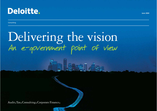

**Consulting** 

# Delivering the vision An e-government point of view

Audit.Tax.Consulting.Corporate Finance.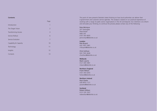#### **Contents**

|                            | raye           |
|----------------------------|----------------|
| Introduction               | 1              |
| The Target Vision          | $\overline{2}$ |
| <b>Transforming Access</b> | $\overline{3}$ |
| Service Rollout            | 6              |
| Service Evolution          | 7              |
| Capability & Capacity      | 10             |
| Technology                 | 11             |
| Insights                   | 12             |
| Contacts                   | 13             |

 $P = -$ 

This point of view presents Deloitte's latest thinking on how local authorities can deliver their e-government and customer service agendas. The analysis is based on our practical experience of working with a range of public sector organisations in the UK and beyond. Our intention is to inform and stimulate your thinking; to continue the process please contact any of the following:

#### Pete McIntyre

201 Deansgate Manchester M60 2AT 0161 455 6835 pemcintyre@deloitte.co.uk

#### **London**

Rob Bryant 020 7007 2981 rmbryant@deloitte.co.uk

Chris Sullivan 020 7303 4646 chsullivan@deloitte.co.uk

#### **Midlands**

Mark Lawrie 0121 695 5981 mlawrie@deloitte.co.uk

#### **Northern England**

Frank Wilson 0161 455 6355 fwilson@deloitte.co.uk

#### **Northern Ireland**

Paul Clarke 028 9053 1121 paclarke@deloitte.co.uk

### **Scotland**

Robert Wilson 0131 535 7437 robewilson@deloitte.co.uk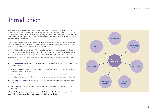### Introduction

The customer services revolution in the private sector has created a level of expectation in the public sector unparalleled in its history. This has combined with a desire within the public sector to reassess the way services are delivered and managed. Variously described as Modernisation or Transformation, and informed by the opportunities that e-government can bring, authorities have defined alternative approaches to service delivery.

Even allowing for local differences, Deloitte has observed a fairly consistent core vision developing, best summarised as "Building Access to Better Services". This vision demands enhanced customer access channels to a transformed service delivery organisation.

In 2001 Deloitte published "Creating the Vision" to assist local authorities in constructing their visions. Now that this strategy work is largely complete, we have turned our attention to delivery. "Delivering the Vision" explains how an authority can turn the vision of Building Access to Better Services into reality.

This document begins by summarising the **Target Vision** for a typical authority and examines the key themes essential for successful delivery:

- **Transforming Access** describes the phased approach the authority will use to migrate to its new access channels.
- **Service Rollout** illustrates how the authority will gradually enhance service delivery capability across the new access channels.
- **Service Evolution** explains how services will transition from the as-is state into the future vision of multiple access channels delivering a wide range of services to a significant depth of provision.
- **Capability and Capacity** discusses the skills an authority must bring to bear in delivering the vision.
- **Technology** summarises the key concepts surrounding the enabling technologies that support the vision.

**We conclude by sharing some of the insights Deloitte has developed in working with authorities to transform their organisation and deliver the vision.**

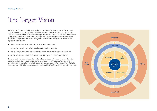### The Target Vision

To deliver the Vision an authority must design its operations with the customer at the centre of service provision. Customers typically fall into three major groupings, residents, businesses and visitors. Authorities must evaluate their differing requirements for access to services. Across all these groupings individuals will have different access preferences depending on their requirements for speed, need for personal contact and ability to travel to an authority's premises. Access routes typically consolidate into:

- telephone (whether via a contact centre, reception or direct line);
- self service (typically electronically aided e.g. via a kiosk or website);
- face to face (via a multi-service 'one-stop shop' or a service specific reception point); and
- outreach (e.g. a representative of the authority visiting the customer in their home).

The organisation is designed around a front and back office split. The front office handles initial customer contact, resolving as many enquiries as possible at the first point of contact. Where specialist input is required the enquiry is routed to the relevant back office for resolution. Typically, an appropriately skilled front office can target resolving 70-90% of enquiries at first point of contact.

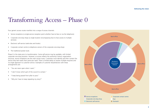### Transforming Access – Phase 0

Four generic access routes manifest into a range of access channels:

- Service receptions (a single-service reception point whether face-to-face or via the telephone).
- Corporate one-stop shops (a single location encompassing face to face access to multiple services).
- Electronic self-service (web-sites and kiosks).
- Corporate contact centre (a telephone version of the corporate one-stop-shop).
- The traditional postal route.

Phase 0 is the state prior to transformation. Some self-service may be available, with limited corporate one-stop provision. However, as access reflects the authority's historic organisation structure, service receptions are the main access route. Customers must identify and then contact the service they feel meets their particular need. There is limited ability to resolve multiple enquiries and no single approach to customer service. Examples of customer dissatisfaction with these arrangements are:

- "You are never open when I want."
- "I don't know which part of the council to contact."
- "I keep being passed from pillar to post."
- "Why do I have to keep repeating my story?"

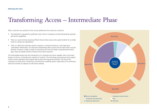### Transforming Access – Intermediate Phase

When customers are queried on their access preferences the results are consistent.

- The telephone is typically the preferred route, with an increasing minority demanding improved self-service capabilities.
- There is a vocal minority requiring efficient face-to-face access and a general desire for a simple route to a joined-up organisation.
- There is a distinction between generic enquiries or simple transactions, and longer-term 'case-based' relationships. For long-term relationships direct access into the back office must be allowed. However, a large number of interactions fall into the simpler enquiry/transformation type, these are ideally suited to efficient front office resolution.

The Intermediate phase sees the introduction of a corporate call centre capable, even in the early phases of roll-out, of handling the majority of contacts. The technology and processes that support contact centre operations also support face-to-face and web portal activities. The role of the corporate one-stop-shop is enhanced, and self-service capability grows organically as the authority's web-site increases its capacity for self-service delivery.

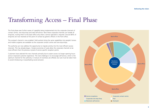### Transforming Access – Final Phase

The final phase sees further waves of capability being implemented into the corporate channels of contact centre, one-stop-shop and web self-service. Now these corporate channels can handle all enquiries, routing them to the back-office only when a service specialist is required. Around 80% of enquiries are now resolved at first point of contact by generic officers in the front office.

The outreach channel is now enabled. Field workers bring the same capabilities into people's homes and mobile surgeries are available via the corporate contact centre and one-stop-shops.

The authority can now address the opportunity to migrate activity into the most efficient access channels. This has already begun. Simple economies of scale allow the corporate channels to be more efficient than the previous myriad of service specific reception points.

Customers have selected the new channels primarily due to easier access via longer opening hours and an improved customer experience. The next challenge is to encourage self-service, which is the optimum channel for the authority. A mixture of incentives are offered, but care must be taken here to avoid introducing or exacerbating social exclusion.

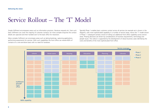### Service Rollout – The 'T' Model

Simple fulfilment encompasses areas such as information provision, literature requests etc. Even such basic fulfilment can cover the majority of customer contacts; for more complex enquiries the contact details are captured and then handed over to the back office for resolution.

More complex fulfilment can encompass areas such as taking bookings, capturing applications, performing assessments for services. With such capabilities the front office can resolve 80% of contacts on a one-and-done basis with no need for handover.

Typically Phase 1 enables basic customer contact across all services (an example set is shown in the diagram), with more sophisticated capability in a number of service areas, hence the 'T' model shown in Phase 1. Subsequent phases consist of rolling out additional front office capability across service areas. Phasing decisions are driven by considerations of business requirements, technology and people issues. This rollout is supported by the development of robust business cases identifying the costs and benefits of the more sophisticated front office.

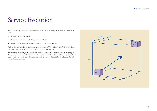### Service Evolution

The local authority transforms its service delivery capability by progressing along three complementary axes:

- the range of access channels;
- the number of services available in each channel; and
- the depth of fulfilment provided for a service in a particular channel.

Each service is unique in its requirements and the degree of front office service fulfilment and the most appropriate channels for delivery will vary from service to service.

The authority must analyse its services and prioritise accordingly to develop a transformation plan. This plan will allow the authority to evolve from the as-is situation of minimal provision to the to-be state where many services are delivered to a significant depth of service fulfilment across the full range of access channels.

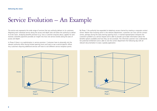### Service Evolution – An Example

The service axis represents the wide range of services that any authority delivers to its customers. Migrating each individual service along the access and depth axes will allow the authority to deliver its to-be vision. Analysing benefits provision (e.g. how a customer enquires about, applies for and receives a benefits payment) provides an insight into how one service evolves along the axes of access and depth.

In Phase 0 there is no sophistication in service provision. Customers have to physically visit the relevant authority office during limited opening hours and wait to see a service-specific officer. Any customers requiring additional services will have to visit different service reception points.

By Phase 1 the authority has expanded its telephony access channel by creating a corporate contact centre. Rather than knowing which is the relevant department, customers can now call the contact centre, perhaps during the early evening opening hours. A trained representative interprets the customer's problem as a service request and is able to provide up-to-date information about the benefits options available and how they can be accessed. The informed customer now understands her potential entitlement and is able to visit the correct department the following day with all relevant documentation to ease a speedy application.



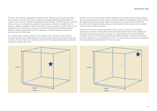At Phase 2 the front-office representatives have been given additional tools to improve the level of service fulfilment they can offer. Their ICT systems now support eligibility assessment. Again the customer calls out-of-hours. Following appropriate security validation, the officer takes the customer's details, carries out a comprehensive assessment and provides an initial view on eligibility for the benefit. In addition, a booking is made for the customer to visit a specialist in the back office. At the appropriate time the next day the customer visits the specialist who has the partially completed application details available electronically. The application is updated, finalised and payment is authorised without further delay.

The increased depth of service provision is now available across a number of access channels. The corporate call centre has been joined by corporate one-stop shops in busy locations in the town. In addition, the web channel now provides access to all the frequently-asked-questions and general information relating to the service.

By Phase 3 the to-be vision has been reached. Capability in the one-stop shops has been enhanced and now front-office staff can lead a customer through all phases of the application. After reviewing and updating the business processes supporting the service, the authority has empowered the front-office staff to approve eligibility claims, and sophisticated workflow systems ensure adequate controls are built into the new process.

The self-service channel has been augmented to allow customers to perform initial eligibility assessments via the web or kiosks within libraries, although legislative requirements regarding the provision of documents prevents full self-service. The outreach channel has now been enabled. Front-office staff from one-stop shops, supported by mobile technology, are able to visit customers via mobile 'surgeries' at e.g. supermarkets and even in a customer's home, bringing the full capability of the corporate access channels direct into the community.

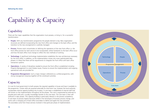# Capability & Capacity

### **Capability**

There are five major capabilities that the organisation must possess, or bring in, for a successful transformation:

- **People.** With any transformation programme the people element is key. New organisation structures are defined incorporating the new front office and changes to the back office, and the transition to the new arrangements is carefully managed.
- **Process.** Process work concentrates on defining the operations of the new front office i.e. the front office process for each service to be incorporated, where handovers to the back office occur and how the back office must change to reflect the new methods of working.
- **Technology.** A significant technology implementation establishes the new architectures necessary for the front office. In addition, as the implementation moves into more sophisticated later phases it is likely that there will be requirements to integrate the front office with back office transaction systems
- **Operations.** A variety of disciplines needed to ensure the front office is established including Property Management to cover Estates issues, Finance to ensure the implementation and ongoing operational costs are provided for.
- **Programme Management.** Such a major change is delivered as a unified programme, with strong management drawing together all the constituent activities.

### **Capacity**

It is rare for local government to both possess the required capability in-house and have it available to the programme. Certain skills are acquired externally for short-term use, however the local authority incorporates internal capacity building into its plans. A core team is established of internal staff that will remain on the implementation throughout all the phases. This core is augmented by externals to provide point skills and, crucially, knowledge transfer to the core team. The core team is then selfsufficient in later phases. This capacity building is particularly relevant in the process competency. A core team of process experts becomes skilled in the techniques of business process change, and works with a changing set of back-office secondees to define and agree the new processes. The secondees come from those services involved in that particular phase of implementation.

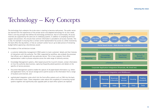## Technology – Key Concepts

The technology that underpins the to-be vision is starting to become well-proven. The public sector has learned from the experiences of the private sector and adapted technology for its own needs. There is one key principle that defines the technology architecture, that of commonality. All access channels are supported by the same set of underlying systems. In addition to simplifying technical support and provision, this ensures that common information is provided to all access channels. This is vital, for example in ensuring that a contact centre representative has access to a letter received by the back-office the day before, or that an outreach worker has an up-to-date picture of remaining budget before approving a discretionary award.

The enablers of the architecture include:

- a customer relationship management (CRM) system to track customers' details and their histories of interactions with the authority. The CRM, supported by workflow, also embeds the processes that officers use in dealing with any particular service. This is how a generic front office representative is able to process enquiries across the wide range of authority services;
- Knowledge Management systems, often based around the Council's intranet, contain information on how the authority does business, capturing frequently-asked-questions and details on the specifics of service provision;
- Document Management systems enable the capture of all paper-based information e.g. letters and application forms, for secure storage and to permit access to the information from a range of locations and channels; and
- sophisticated integration suites which link the front-office systems such as CRM into the backoffice information stores. These integration suites reduce the complexity of connecting myriad systems together and significantly ease upgrade paths as back-office systems are replaced.

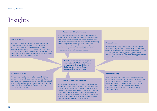### Insights

#### **Pilot then expand**

At Phase 0 of the customer services revolution it is likely that embryonic implementations of access channels exist across the authority e.g. single service call centres. These implementations are vital considerations for rollout planning, to ensure the corporate solution learns from early pilots, and also to prevent any degradation in service as the pilots migrate into the long-term vision.

#### **Realising benefits of self-service**

Much hype has been created around the potential of selfservice e.g. via the Web to save businesses money. For local authorities it is more complex. The private sector can close down access channels or penalise customers for their use e.g. airlines selling fares more cheaply via the web. Local Authorities cannot do this, and must balance the desire for more efficient operations with the need to maintain a physical presence and address social exclusion.

> **Deloitte works with a wide range of organisations to 'Deliver the Vision', and possesses deep insight into the challenges that must be faced. A selection is presented here.**

#### **Corporate initiatives**

Although many authorities have built around initiatives coming from one or two service areas, it is vital that the transformation becomes a corporate-wide initiative, with all services being available via common access channels at the appropriate levels of fulfilment. Customers no longer tolerate a 'silo' mentality.

#### **Service quality v cost reduction**

Any organisation reengineering customer service faces two competing pressures – improving services and reducing costs. It is vital that all stakeholders, including politicians, agree on the balance between these pressures. Experience shows that early phases of implementation rapidly improve service, but require an injection of resources. Significant cost savings are achieved in later phases as the common front office replaces duplicate processes across back-office services.

### **Untapped demand**

The experience of early adopters indicates that improving access to the organisation results in a step increase in the volume of interactions, as customers take advantage of the new arrangements. Capacity planning, particularly for staffing levels, prevents this explosion of untapped demand crippling the early phases of rollout.

#### **Service ownership**

There are critical organisation design issues that require early attention, debate and agreement across the authority. Who in the organisation is responsible for customer service, and hence for staff in the front office? Is this consistent across all access channels? Are back-office service managers satisfied with front office delivery for 'their' service areas?